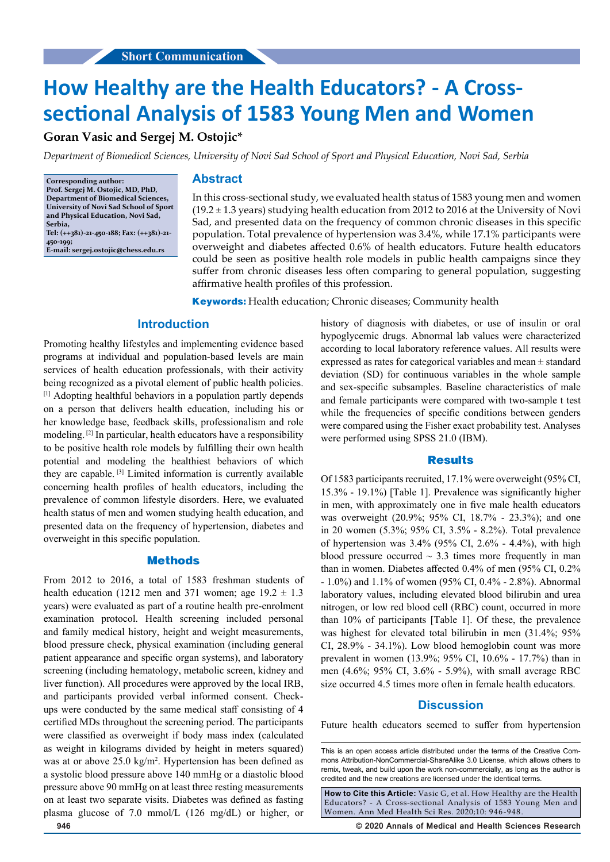# **How Healthy are the Health Educators? - A Crosssectional Analysis of 1583 Young Men and Women**

## **Goran Vasic and Sergej M. Ostojic\***

*Department of Biomedical Sciences, University of Novi Sad School of Sport and Physical Education, Novi Sad, Serbia*

**Corresponding author: Prof. Sergej M. Ostojic, MD, PhD, Department of Biomedical Sciences, University of Novi Sad School of Sport and Physical Education, Novi Sad, Serbia, Tel: (++381)-21-450-188; Fax: (++381)-21- 450-199;** 

**E-mail: sergej.ostojic@chess.edu.rs**

## **Abstract**

In this cross-sectional study, we evaluated health status of 1583 young men and women (19.2 ± 1.3 years) studying health education from 2012 to 2016 at the University of Novi Sad, and presented data on the frequency of common chronic diseases in this specific population. Total prevalence of hypertension was 3.4%, while 17.1% participants were overweight and diabetes affected 0.6% of health educators. Future health educators could be seen as positive health role models in public health campaigns since they suffer from chronic diseases less often comparing to general population, suggesting affirmative health profiles of this profession.

**Keywords:** Health education; Chronic diseases; Community health

### **Introduction**

Promoting healthy lifestyles and implementing evidence based programs at individual and population-based levels are main services of health education professionals, with their activity being recognized as a pivotal element of public health policies. [1] Adopting healthful behaviors in a population partly depends on a person that delivers health education, including his or her knowledge base, feedback skills, professionalism and role modeling. [2] In particular, health educators have a responsibility to be positive health role models by fulfilling their own health potential and modeling the healthiest behaviors of which they are capable. [3] Limited information is currently available concerning health profiles of health educators, including the prevalence of common lifestyle disorders. Here, we evaluated health status of men and women studying health education, and presented data on the frequency of hypertension, diabetes and overweight in this specific population.

#### **Methods**

From 2012 to 2016, a total of 1583 freshman students of health education (1212 men and 371 women; age  $19.2 \pm 1.3$ years) were evaluated as part of a routine health pre-enrolment examination protocol. Health screening included personal and family medical history, height and weight measurements, blood pressure check, physical examination (including general patient appearance and specific organ systems), and laboratory screening (including hematology, metabolic screen, kidney and liver function). All procedures were approved by the local IRB, and participants provided verbal informed consent. Checkups were conducted by the same medical staff consisting of 4 certified MDs throughout the screening period. The participants were classified as overweight if body mass index (calculated as weight in kilograms divided by height in meters squared) was at or above 25.0 kg/m<sup>2</sup>. Hypertension has been defined as a systolic blood pressure above 140 mmHg or a diastolic blood pressure above 90 mmHg on at least three resting measurements on at least two separate visits. Diabetes was defined as fasting plasma glucose of 7.0 mmol/L (126 mg/dL) or higher, or history of diagnosis with diabetes, or use of insulin or oral hypoglycemic drugs. Abnormal lab values were characterized according to local laboratory reference values. All results were expressed as rates for categorical variables and mean  $\pm$  standard deviation (SD) for continuous variables in the whole sample and sex-specific subsamples. Baseline characteristics of male and female participants were compared with two-sample t test while the frequencies of specific conditions between genders were compared using the Fisher exact probability test. Analyses were performed using SPSS 21.0 (IBM).

#### **Results**

Of 1583 participants recruited, 17.1% were overweight (95% CI, 15.3% - 19.1%) [Table 1]. Prevalence was significantly higher in men, with approximately one in five male health educators was overweight (20.9%; 95% CI, 18.7% - 23.3%); and one in 20 women (5.3%; 95% CI, 3.5% - 8.2%). Total prevalence of hypertension was 3.4% (95% CI, 2.6% - 4.4%), with high blood pressure occurred  $\sim$  3.3 times more frequently in man than in women. Diabetes affected 0.4% of men (95% CI, 0.2% - 1.0%) and 1.1% of women (95% CI, 0.4% - 2.8%). Abnormal laboratory values, including elevated blood bilirubin and urea nitrogen, or low red blood cell (RBC) count, occurred in more than 10% of participants [Table 1]. Of these, the prevalence was highest for elevated total bilirubin in men (31.4%; 95% CI, 28.9% - 34.1%). Low blood hemoglobin count was more prevalent in women (13.9%; 95% CI, 10.6% - 17.7%) than in men (4.6%; 95% CI, 3.6% - 5.9%), with small average RBC size occurred 4.5 times more often in female health educators.

#### **Discussion**

Future health educators seemed to suffer from hypertension

**How to Cite this Article:** Vasic G, et al. How Healthy are the Health Educators? - A Cross-sectional Analysis of 1583 Young Men and Women. Ann Med Health Sci Res. 2020;10: 946-948.

**946 © 2020 Annals of Medical and Health Sciences Research** 

This is an open access article distributed under the terms of the Creative Commons Attribution‑NonCommercial‑ShareAlike 3.0 License, which allows others to remix, tweak, and build upon the work non‑commercially, as long as the author is credited and the new creations are licensed under the identical terms.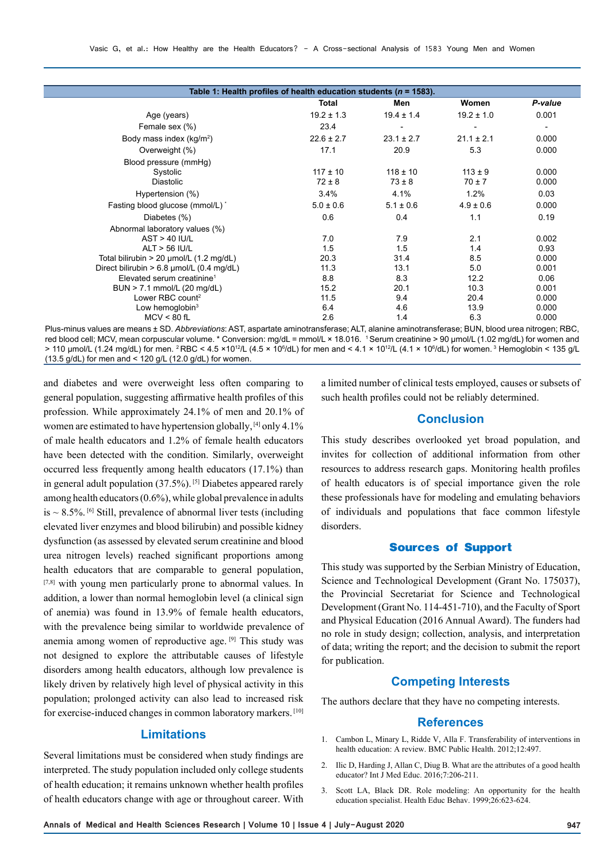| Table 1: Health profiles of health education students ( $n = 1583$ ). |                |                |                |                |
|-----------------------------------------------------------------------|----------------|----------------|----------------|----------------|
|                                                                       | Total          | Men            | Women          | P-value        |
| Age (years)                                                           | $19.2 \pm 1.3$ | $19.4 \pm 1.4$ | $19.2 \pm 1.0$ | 0.001          |
| Female sex (%)                                                        | 23.4           |                |                | $\overline{a}$ |
| Body mass index $(kg/m2)$                                             | $22.6 \pm 2.7$ | $23.1 \pm 2.7$ | $21.1 \pm 2.1$ | 0.000          |
| Overweight (%)                                                        | 17.1           | 20.9           | 5.3            | 0.000          |
| Blood pressure (mmHg)                                                 |                |                |                |                |
| Systolic                                                              | $117 \pm 10$   | $118 \pm 10$   | $113 \pm 9$    | 0.000          |
| <b>Diastolic</b>                                                      | $72 \pm 8$     | $73 \pm 8$     | $70 \pm 7$     | 0.000          |
| Hypertension (%)                                                      | 3.4%           | 4.1%           | 1.2%           | 0.03           |
| Fasting blood glucose (mmol/L) *                                      | $5.0 \pm 0.6$  | $5.1 \pm 0.6$  | $4.9 \pm 0.6$  | 0.000          |
| Diabetes (%)                                                          | 0.6            | 0.4            | 1.1            | 0.19           |
| Abnormal laboratory values (%)                                        |                |                |                |                |
| $AST > 40$ IU/L                                                       | 7.0            | 7.9            | 2.1            | 0.002          |
| ALT > 56 IU/L                                                         | 1.5            | 1.5            | 1.4            | 0.93           |
| Total bilirubin > 20 $\mu$ mol/L (1.2 mg/dL)                          | 20.3           | 31.4           | 8.5            | 0.000          |
| Direct bilirubin > 6.8 µmol/L (0.4 mg/dL)                             | 11.3           | 13.1           | 5.0            | 0.001          |
| Elevated serum creatinine <sup>1</sup>                                | 8.8            | 8.3            | 12.2           | 0.06           |
| BUN > 7.1 mmol/L (20 mg/dL)                                           | 15.2           | 20.1           | 10.3           | 0.001          |
| Lower RBC count <sup>2</sup>                                          | 11.5           | 9.4            | 20.4           | 0.000          |
| Low hemoglobin $3$                                                    | 6.4            | 4.6            | 13.9           | 0.000          |
| $MCV < 80$ fL                                                         | 2.6            | 1.4            | 6.3            | 0.000          |

Plus-minus values are means ± SD. *Abbreviations*: AST, aspartate aminotransferase; ALT, alanine aminotransferase; BUN, blood urea nitrogen; RBC, red blood cell; MCV, mean corpuscular volume. \* Conversion: mg/dL = mmol/L × 18.016. 1 Serum creatinine > 90 μmol/L (1.02 mg/dL) for women and > 110 μmol/L (1.24 mg/dL) for men. <sup>2</sup> RBC < 4.5 ×10<sup>1</sup>/L (4.5 × 10<sup>6</sup>/dL) for men and < 4.1 × 10<sup>1</sup>/L (4.1 × 10<sup>6</sup>/dL) for women. <sup>3</sup> Hemoglobin < 135 g/L (13.5 g/dL) for men and < 120 g/L (12.0 g/dL) for women.

and diabetes and were overweight less often comparing to general population, suggesting affirmative health profiles of this profession. While approximately 24.1% of men and 20.1% of women are estimated to have hypertension globally, [4] only 4.1% of male health educators and 1.2% of female health educators have been detected with the condition. Similarly, overweight occurred less frequently among health educators (17.1%) than in general adult population (37.5%). [5] Diabetes appeared rarely among health educators (0.6%), while global prevalence in adults is  $\sim$  8.5%. <sup>[6]</sup> Still, prevalence of abnormal liver tests (including elevated liver enzymes and blood bilirubin) and possible kidney dysfunction (as assessed by elevated serum creatinine and blood urea nitrogen levels) reached significant proportions among health educators that are comparable to general population, [7,8] with young men particularly prone to abnormal values. In addition, a lower than normal hemoglobin level (a clinical sign of anemia) was found in 13.9% of female health educators, with the prevalence being similar to worldwide prevalence of anemia among women of reproductive age. [9] This study was not designed to explore the attributable causes of lifestyle disorders among health educators, although low prevalence is likely driven by relatively high level of physical activity in this population; prolonged activity can also lead to increased risk for exercise-induced changes in common laboratory markers. [10]

## **Limitations**

Several limitations must be considered when study findings are interpreted. The study population included only college students of health education; it remains unknown whether health profiles of health educators change with age or throughout career. With a limited number of clinical tests employed, causes or subsets of such health profiles could not be reliably determined.

## **Conclusion**

This study describes overlooked yet broad population, and invites for collection of additional information from other resources to address research gaps. Monitoring health profiles of health educators is of special importance given the role these professionals have for modeling and emulating behaviors of individuals and populations that face common lifestyle disorders.

## **Sources of Support**

This study was supported by the Serbian Ministry of Education, Science and Technological Development (Grant No. 175037), the Provincial Secretariat for Science and Technological Development (Grant No. 114-451-710), and the Faculty of Sport and Physical Education (2016 Annual Award). The funders had no role in study design; collection, analysis, and interpretation of data; writing the report; and the decision to submit the report for publication.

## **Competing Interests**

The authors declare that they have no competing interests.

## **References**

- 1. Cambon L, Minary L, Ridde V, Alla F. Transferability of interventions in health education: A review. BMC Public Health. 2012;12:497.
- 2. Ilic D, Harding J, Allan C, Diug B. What are the attributes of a good health educator? Int J Med Educ. 2016;7:206-211.
- 3. Scott LA, Black DR. Role modeling: An opportunity for the health education specialist. Health Educ Behav. 1999;26:623-624.